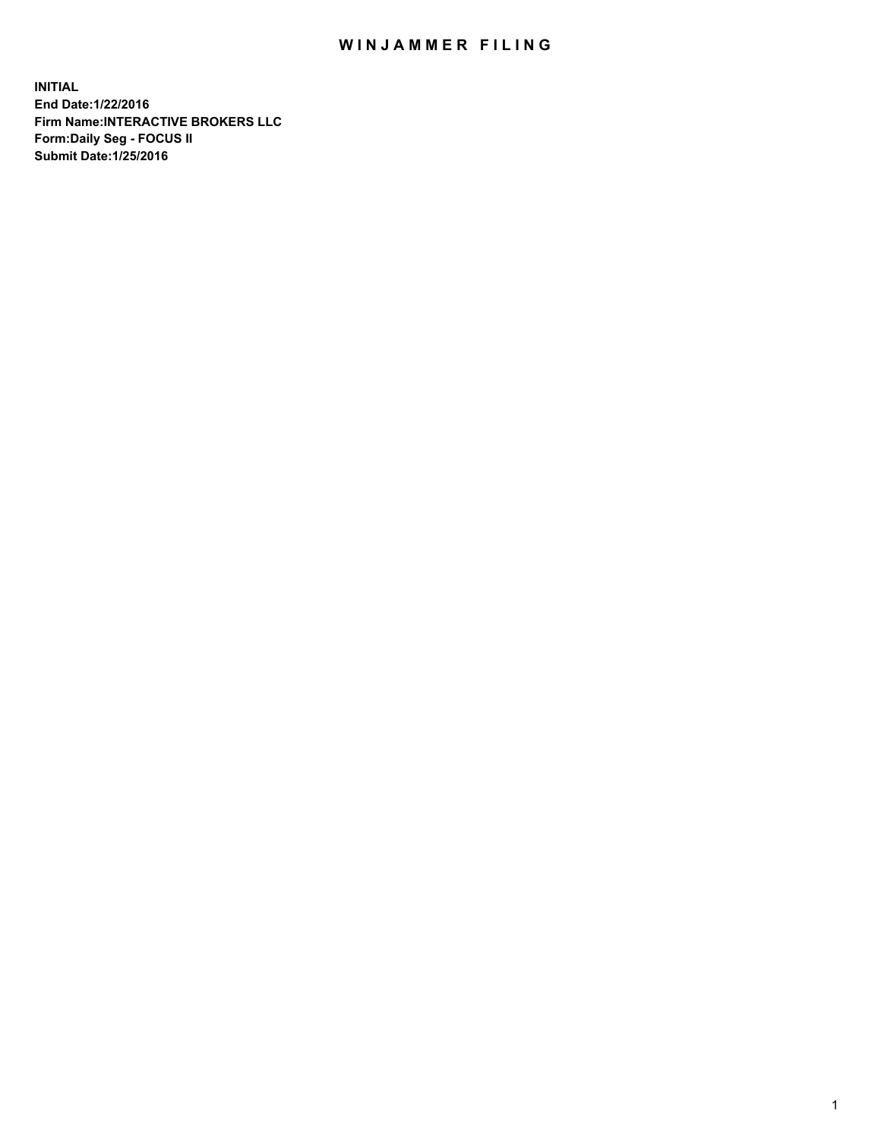## WIN JAMMER FILING

**INITIAL End Date:1/22/2016 Firm Name:INTERACTIVE BROKERS LLC Form:Daily Seg - FOCUS II Submit Date:1/25/2016**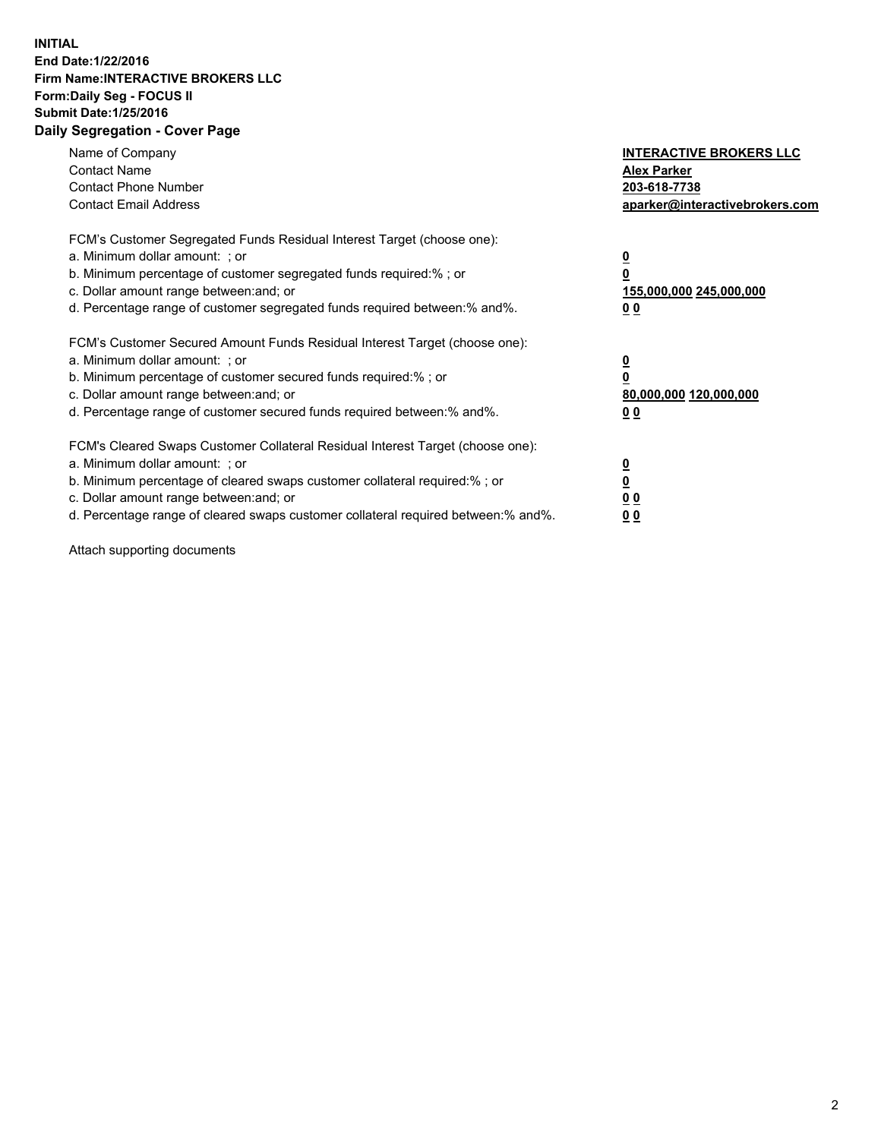## **INITIAL End Date:1/22/2016 Firm Name:INTERACTIVE BROKERS LLC Form:Daily Seg - FOCUS II Submit Date:1/25/2016 Daily Segregation - Cover Page**

| Name of Company<br><b>Contact Name</b><br><b>Contact Phone Number</b><br><b>Contact Email Address</b>                                                                                                                                                                                                                         | <b>INTERACTIVE BROKERS LLC</b><br><b>Alex Parker</b><br>203-618-7738<br>aparker@interactivebrokers.com |
|-------------------------------------------------------------------------------------------------------------------------------------------------------------------------------------------------------------------------------------------------------------------------------------------------------------------------------|--------------------------------------------------------------------------------------------------------|
| FCM's Customer Segregated Funds Residual Interest Target (choose one):<br>a. Minimum dollar amount: ; or<br>b. Minimum percentage of customer segregated funds required:% ; or<br>c. Dollar amount range between: and; or<br>d. Percentage range of customer segregated funds required between:% and%.                        | <u>0</u><br>155,000,000 245,000,000<br>0 <sub>0</sub>                                                  |
| FCM's Customer Secured Amount Funds Residual Interest Target (choose one):<br>a. Minimum dollar amount: ; or<br>b. Minimum percentage of customer secured funds required:%; or<br>c. Dollar amount range between: and; or<br>d. Percentage range of customer secured funds required between: % and %.                         | <u>0</u><br>80,000,000 120,000,000<br><u>00</u>                                                        |
| FCM's Cleared Swaps Customer Collateral Residual Interest Target (choose one):<br>a. Minimum dollar amount: ; or<br>b. Minimum percentage of cleared swaps customer collateral required:%; or<br>c. Dollar amount range between: and; or<br>d. Percentage range of cleared swaps customer collateral required between:% and%. | <u>0</u><br>0 <sub>0</sub><br>0 <sub>0</sub>                                                           |

Attach supporting documents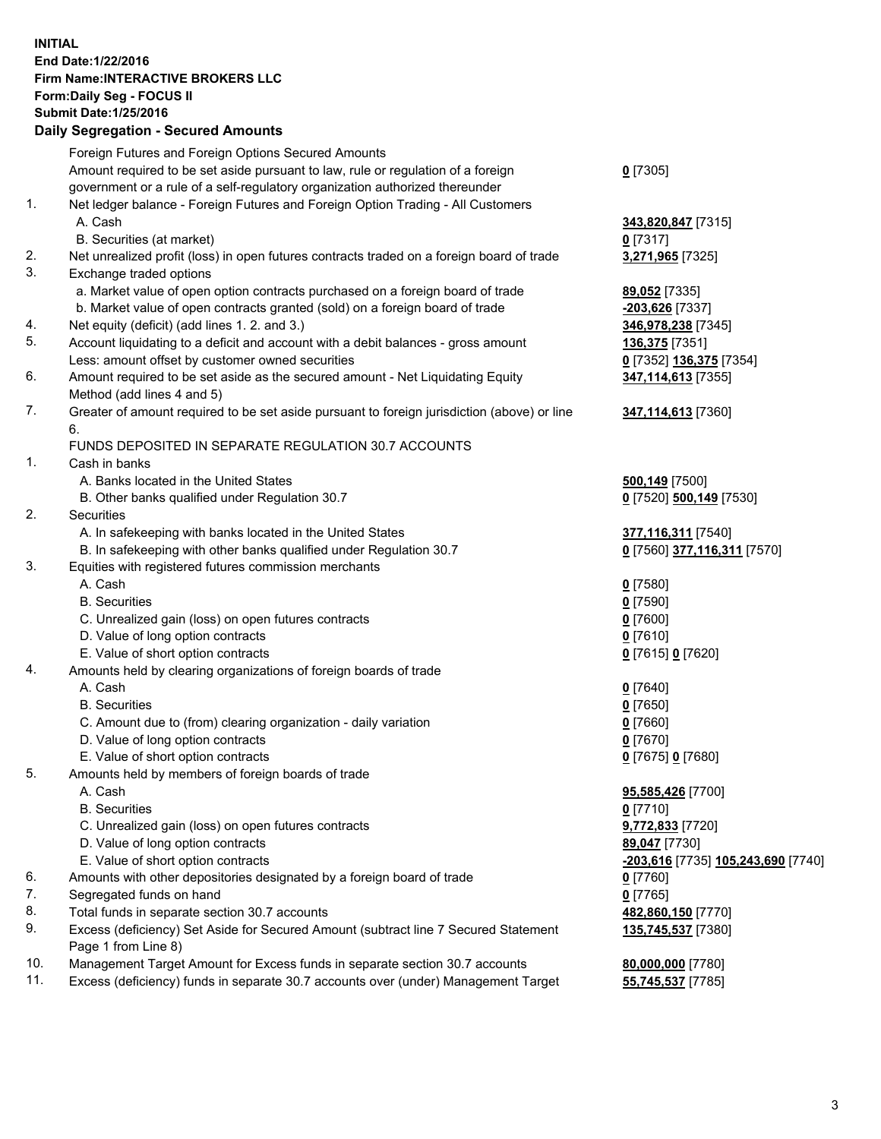## **INITIAL End Date:1/22/2016 Firm Name:INTERACTIVE BROKERS LLC Form:Daily Seg - FOCUS II Submit Date:1/25/2016 Daily Segregation - Secured Amounts**

|     | Foreign Futures and Foreign Options Secured Amounts                                         |                                    |
|-----|---------------------------------------------------------------------------------------------|------------------------------------|
|     | Amount required to be set aside pursuant to law, rule or regulation of a foreign            | $0$ [7305]                         |
|     | government or a rule of a self-regulatory organization authorized thereunder                |                                    |
| 1.  | Net ledger balance - Foreign Futures and Foreign Option Trading - All Customers             |                                    |
|     | A. Cash                                                                                     | 343,820,847 [7315]                 |
|     | B. Securities (at market)                                                                   | $0$ [7317]                         |
| 2.  | Net unrealized profit (loss) in open futures contracts traded on a foreign board of trade   | 3,271,965 [7325]                   |
| 3.  | Exchange traded options                                                                     |                                    |
|     | a. Market value of open option contracts purchased on a foreign board of trade              | 89,052 [7335]                      |
|     | b. Market value of open contracts granted (sold) on a foreign board of trade                | -203,626 [7337]                    |
| 4.  | Net equity (deficit) (add lines 1.2. and 3.)                                                | 346,978,238 [7345]                 |
| 5.  | Account liquidating to a deficit and account with a debit balances - gross amount           | <b>136,375</b> [7351]              |
|     | Less: amount offset by customer owned securities                                            | 0 [7352] 136,375 [7354]            |
| 6.  | Amount required to be set aside as the secured amount - Net Liquidating Equity              | 347,114,613 [7355]                 |
|     | Method (add lines 4 and 5)                                                                  |                                    |
| 7.  | Greater of amount required to be set aside pursuant to foreign jurisdiction (above) or line | 347,114,613 [7360]                 |
|     | 6.                                                                                          |                                    |
|     | FUNDS DEPOSITED IN SEPARATE REGULATION 30.7 ACCOUNTS                                        |                                    |
| 1.  | Cash in banks                                                                               |                                    |
|     | A. Banks located in the United States                                                       | 500,149 [7500]                     |
|     | B. Other banks qualified under Regulation 30.7                                              | 0 [7520] 500,149 [7530]            |
| 2.  | Securities                                                                                  |                                    |
|     | A. In safekeeping with banks located in the United States                                   | 377,116,311 [7540]                 |
|     | B. In safekeeping with other banks qualified under Regulation 30.7                          | 0 [7560] 377,116,311 [7570]        |
| 3.  | Equities with registered futures commission merchants                                       |                                    |
|     | A. Cash                                                                                     | $0$ [7580]                         |
|     | <b>B.</b> Securities                                                                        | $0$ [7590]                         |
|     | C. Unrealized gain (loss) on open futures contracts                                         | $0$ [7600]                         |
|     | D. Value of long option contracts                                                           | $0$ [7610]                         |
|     | E. Value of short option contracts                                                          | 0 [7615] 0 [7620]                  |
| 4.  | Amounts held by clearing organizations of foreign boards of trade                           |                                    |
|     | A. Cash                                                                                     | $0$ [7640]                         |
|     | <b>B.</b> Securities                                                                        | $0$ [7650]                         |
|     | C. Amount due to (from) clearing organization - daily variation                             | $0$ [7660]                         |
|     | D. Value of long option contracts                                                           | $0$ [7670]                         |
|     | E. Value of short option contracts                                                          | 0 [7675] 0 [7680]                  |
| 5.  | Amounts held by members of foreign boards of trade                                          |                                    |
|     | A. Cash                                                                                     | 95,585,426 [7700]                  |
|     | <b>B.</b> Securities                                                                        | $0$ [7710]                         |
|     | C. Unrealized gain (loss) on open futures contracts                                         | 9,772,833 [7720]                   |
|     | D. Value of long option contracts                                                           | 89,047 [7730]                      |
|     | E. Value of short option contracts                                                          | -203,616 [7735] 105,243,690 [7740] |
| 6.  | Amounts with other depositories designated by a foreign board of trade                      | $0$ [7760]                         |
| 7.  | Segregated funds on hand                                                                    | $0$ [7765]                         |
| 8.  | Total funds in separate section 30.7 accounts                                               | 482,860,150 [7770]                 |
| 9.  | Excess (deficiency) Set Aside for Secured Amount (subtract line 7 Secured Statement         | 135,745,537 [7380]                 |
|     | Page 1 from Line 8)                                                                         |                                    |
| 10. | Management Target Amount for Excess funds in separate section 30.7 accounts                 | 80,000,000 [7780]                  |
| 11. | Excess (deficiency) funds in separate 30.7 accounts over (under) Management Target          | 55,745,537 [7785]                  |
|     |                                                                                             |                                    |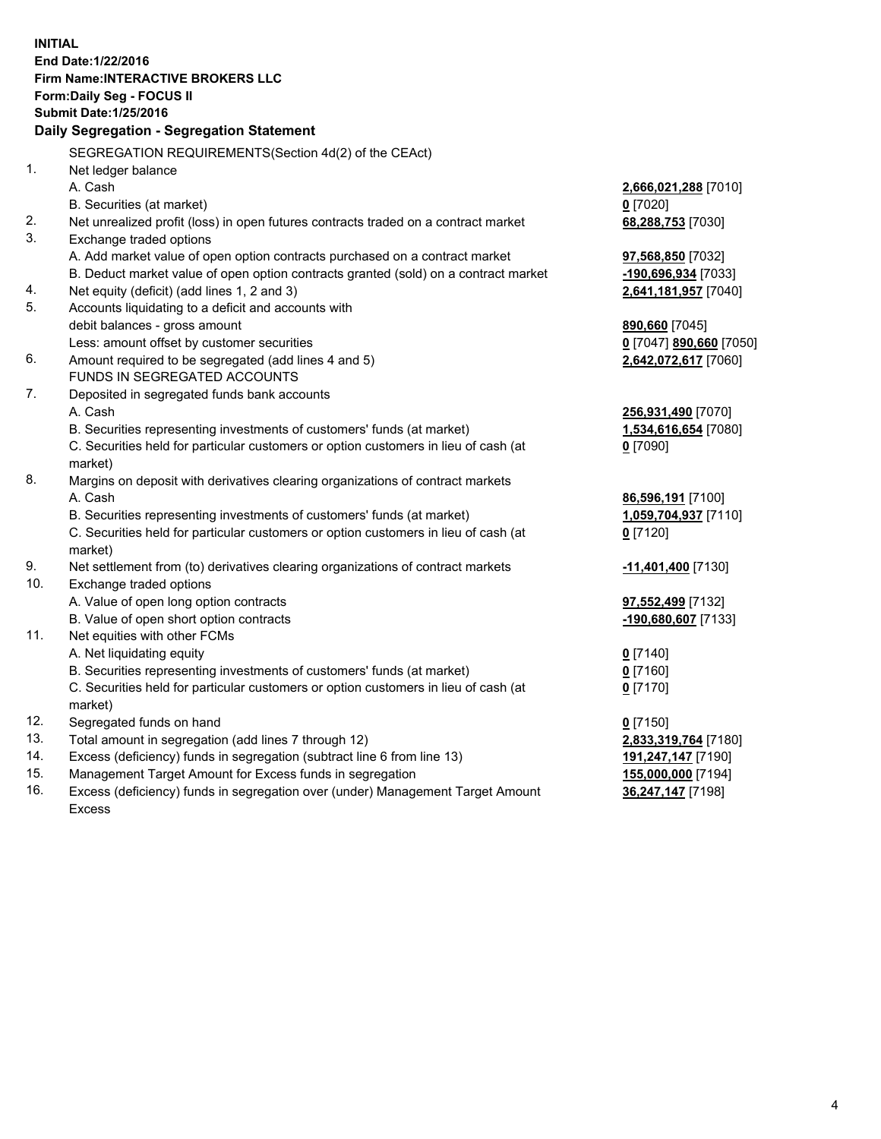**INITIAL End Date:1/22/2016 Firm Name:INTERACTIVE BROKERS LLC Form:Daily Seg - FOCUS II Submit Date:1/25/2016 Daily Segregation - Segregation Statement** SEGREGATION REQUIREMENTS(Section 4d(2) of the CEAct) 1. Net ledger balance A. Cash **2,666,021,288** [7010] B. Securities (at market) **0** [7020] 2. Net unrealized profit (loss) in open futures contracts traded on a contract market **68,288,753** [7030] 3. Exchange traded options A. Add market value of open option contracts purchased on a contract market **97,568,850** [7032] B. Deduct market value of open option contracts granted (sold) on a contract market **-190,696,934** [7033] 4. Net equity (deficit) (add lines 1, 2 and 3) **2,641,181,957** [7040] 5. Accounts liquidating to a deficit and accounts with debit balances - gross amount **890,660** [7045] Less: amount offset by customer securities **0** [7047] **890,660** [7050] 6. Amount required to be segregated (add lines 4 and 5) **2,642,072,617** [7060] FUNDS IN SEGREGATED ACCOUNTS 7. Deposited in segregated funds bank accounts A. Cash **256,931,490** [7070] B. Securities representing investments of customers' funds (at market) **1,534,616,654** [7080] C. Securities held for particular customers or option customers in lieu of cash (at market) **0** [7090] 8. Margins on deposit with derivatives clearing organizations of contract markets A. Cash **86,596,191** [7100] B. Securities representing investments of customers' funds (at market) **1,059,704,937** [7110] C. Securities held for particular customers or option customers in lieu of cash (at market) **0** [7120] 9. Net settlement from (to) derivatives clearing organizations of contract markets **-11,401,400** [7130] 10. Exchange traded options A. Value of open long option contracts **97,552,499** [7132] B. Value of open short option contracts **-190,680,607** [7133] 11. Net equities with other FCMs A. Net liquidating equity **0** [7140] B. Securities representing investments of customers' funds (at market) **0** [7160] C. Securities held for particular customers or option customers in lieu of cash (at market) **0** [7170] 12. Segregated funds on hand **0** [7150] 13. Total amount in segregation (add lines 7 through 12) **2,833,319,764** [7180] 14. Excess (deficiency) funds in segregation (subtract line 6 from line 13) **191,247,147** [7190] 15. Management Target Amount for Excess funds in segregation **155,000,000** [7194]

16. Excess (deficiency) funds in segregation over (under) Management Target Amount Excess

**36,247,147** [7198]